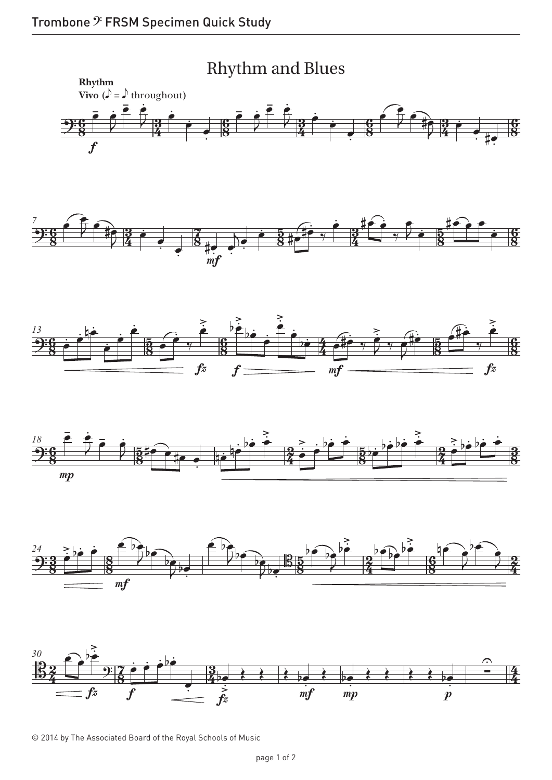





<sup>© 2014</sup> by The Associated Board of the Royal Schools of Music